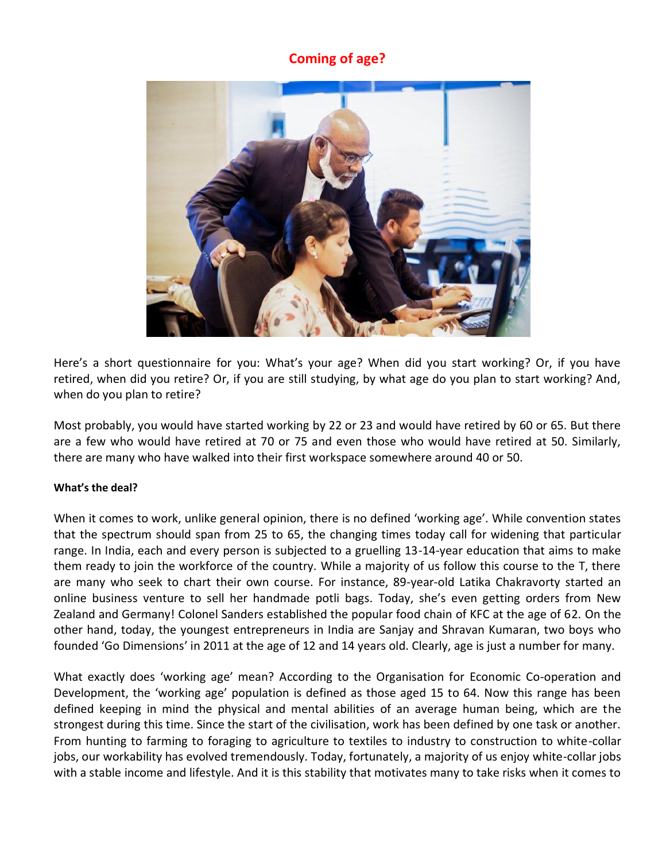## **Coming of age?**



Here's a short questionnaire for you: What's your age? When did you start working? Or, if you have retired, when did you retire? Or, if you are still studying, by what age do you plan to start working? And, when do you plan to retire?

Most probably, you would have started working by 22 or 23 and would have retired by 60 or 65. But there are a few who would have retired at 70 or 75 and even those who would have retired at 50. Similarly, there are many who have walked into their first workspace somewhere around 40 or 50.

## **What's the deal?**

When it comes to work, unlike general opinion, there is no defined 'working age'. While convention states that the spectrum should span from 25 to 65, the changing times today call for widening that particular range. In India, each and every person is subjected to a gruelling 13-14-year education that aims to make them ready to join the workforce of the country. While a majority of us follow this course to the T, there are many who seek to chart their own course. For instance, 89-year-old Latika Chakravorty started an online business venture to sell her handmade potli bags. Today, she's even getting orders from New Zealand and Germany! Colonel Sanders established the popular food chain of KFC at the age of 62. On the other hand, today, the youngest entrepreneurs in India are Sanjay and Shravan Kumaran, two boys who founded 'Go Dimensions' in 2011 at the age of 12 and 14 years old. Clearly, age is just a number for many.

What exactly does 'working age' mean? According to the Organisation for Economic Co-operation and Development, the 'working age' population is defined as those aged 15 to 64. Now this range has been defined keeping in mind the physical and mental abilities of an average human being, which are the strongest during this time. Since the start of the civilisation, work has been defined by one task or another. From hunting to farming to foraging to agriculture to textiles to industry to construction to white-collar jobs, our workability has evolved tremendously. Today, fortunately, a majority of us enjoy white-collar jobs with a stable income and lifestyle. And it is this stability that motivates many to take risks when it comes to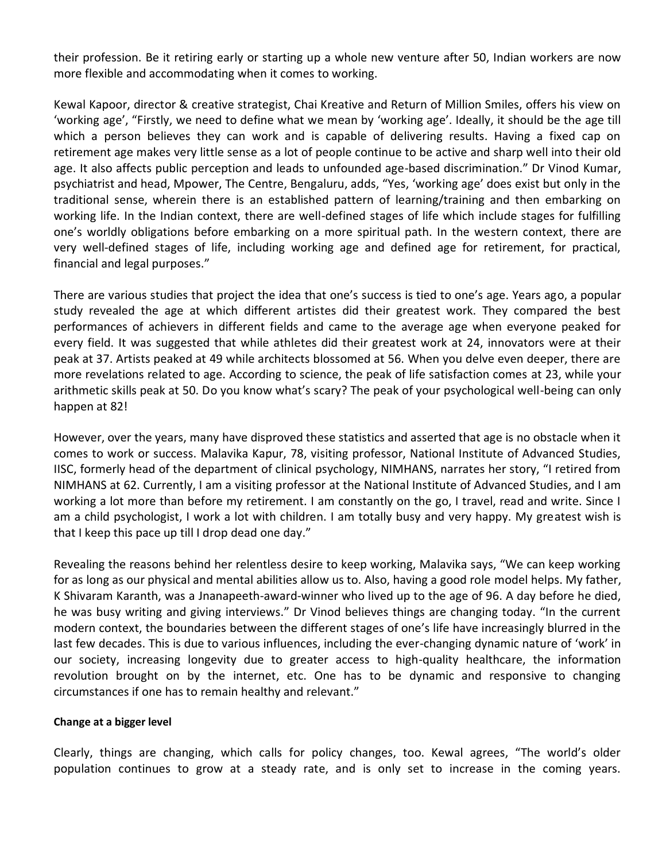their profession. Be it retiring early or starting up a whole new venture after 50, Indian workers are now more flexible and accommodating when it comes to working.

Kewal Kapoor, director & creative strategist, Chai Kreative and Return of Million Smiles, offers his view on 'working age', "Firstly, we need to define what we mean by 'working age'. Ideally, it should be the age till which a person believes they can work and is capable of delivering results. Having a fixed cap on retirement age makes very little sense as a lot of people continue to be active and sharp well into their old age. It also affects public perception and leads to unfounded age-based discrimination." Dr Vinod Kumar, psychiatrist and head, Mpower, The Centre, Bengaluru, adds, "Yes, 'working age' does exist but only in the traditional sense, wherein there is an established pattern of learning/training and then embarking on working life. In the Indian context, there are well-defined stages of life which include stages for fulfilling one's worldly obligations before embarking on a more spiritual path. In the western context, there are very well-defined stages of life, including working age and defined age for retirement, for practical, financial and legal purposes."

There are various studies that project the idea that one's success is tied to one's age. Years ago, a popular study revealed the age at which different artistes did their greatest work. They compared the best performances of achievers in different fields and came to the average age when everyone peaked for every field. It was suggested that while athletes did their greatest work at 24, innovators were at their peak at 37. Artists peaked at 49 while architects blossomed at 56. When you delve even deeper, there are more revelations related to age. According to science, the peak of life satisfaction comes at 23, while your arithmetic skills peak at 50. Do you know what's scary? The peak of your psychological well-being can only happen at 82!

However, over the years, many have disproved these statistics and asserted that age is no obstacle when it comes to work or success. Malavika Kapur, 78, visiting professor, National Institute of Advanced Studies, IISC, formerly head of the department of clinical psychology, NIMHANS, narrates her story, "I retired from NIMHANS at 62. Currently, I am a visiting professor at the National Institute of Advanced Studies, and I am working a lot more than before my retirement. I am constantly on the go, I travel, read and write. Since I am a child psychologist, I work a lot with children. I am totally busy and very happy. My greatest wish is that I keep this pace up till I drop dead one day."

Revealing the reasons behind her relentless desire to keep working, Malavika says, "We can keep working for as long as our physical and mental abilities allow us to. Also, having a good role model helps. My father, K Shivaram Karanth, was a Jnanapeeth-award-winner who lived up to the age of 96. A day before he died, he was busy writing and giving interviews." Dr Vinod believes things are changing today. "In the current modern context, the boundaries between the different stages of one's life have increasingly blurred in the last few decades. This is due to various influences, including the ever-changing dynamic nature of 'work' in our society, increasing longevity due to greater access to high-quality healthcare, the information revolution brought on by the internet, etc. One has to be dynamic and responsive to changing circumstances if one has to remain healthy and relevant."

## **Change at a bigger level**

Clearly, things are changing, which calls for policy changes, too. Kewal agrees, "The world's older population continues to grow at a steady rate, and is only set to increase in the coming years.